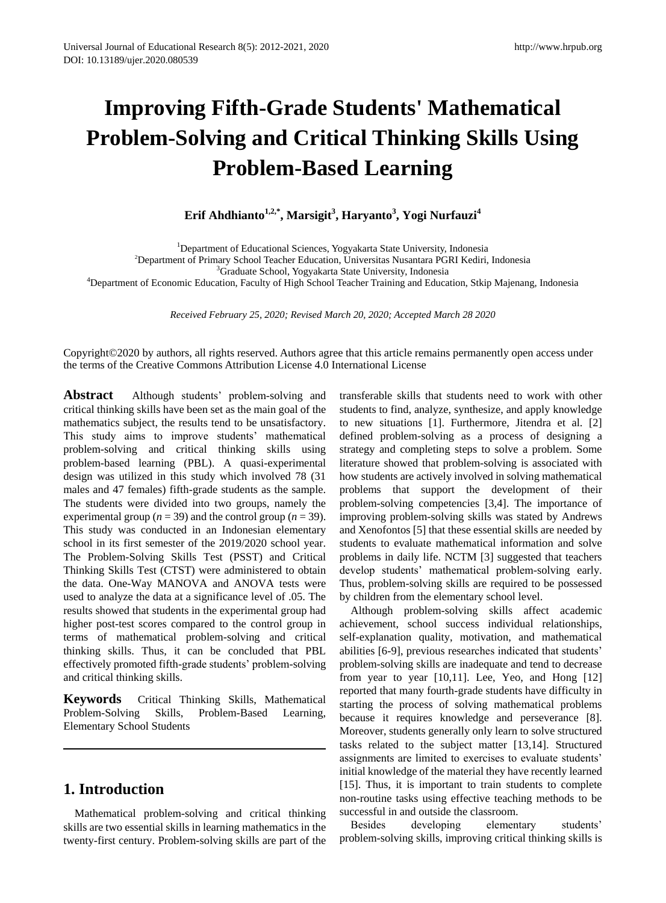# **Improving Fifth-Grade Students' Mathematical Problem-Solving and Critical Thinking Skills Using Problem-Based Learning**

**Erif Ahdhianto1,2,\*, Marsigit<sup>3</sup> , Haryanto<sup>3</sup> , Yogi Nurfauzi<sup>4</sup>**

<sup>1</sup>Department of Educational Sciences, Yogyakarta State University, Indonesia

<sup>2</sup>Department of Primary School Teacher Education, Universitas Nusantara PGRI Kediri, Indonesia

<sup>3</sup>Graduate School, Yogyakarta State University, Indonesia

<sup>4</sup>Department of Economic Education, Faculty of High School Teacher Training and Education, Stkip Majenang, Indonesia

*Received February 25, 2020; Revised March 20, 2020; Accepted March 28 2020*

Copyright©2020 by authors, all rights reserved. Authors agree that this article remains permanently open access under the terms of the Creative Commons Attribution License 4.0 International License

**Abstract** Although students' problem-solving and critical thinking skills have been set as the main goal of the mathematics subject, the results tend to be unsatisfactory. This study aims to improve students' mathematical problem-solving and critical thinking skills using problem-based learning (PBL). A quasi-experimental design was utilized in this study which involved 78 (31 males and 47 females) fifth-grade students as the sample. The students were divided into two groups, namely the experimental group ( $n = 39$ ) and the control group ( $n = 39$ ). This study was conducted in an Indonesian elementary school in its first semester of the 2019/2020 school year. The Problem-Solving Skills Test (PSST) and Critical Thinking Skills Test (CTST) were administered to obtain the data. One-Way MANOVA and ANOVA tests were used to analyze the data at a significance level of .05. The results showed that students in the experimental group had higher post-test scores compared to the control group in terms of mathematical problem-solving and critical thinking skills. Thus, it can be concluded that PBL effectively promoted fifth-grade students' problem-solving and critical thinking skills.

**Keywords** Critical Thinking Skills, Mathematical Problem-Solving Skills, Problem-Based Learning, Elementary School Students

# **1. Introduction**

Mathematical problem-solving and critical thinking skills are two essential skills in learning mathematics in the twenty-first century. Problem-solving skills are part of the

transferable skills that students need to work with other students to find, analyze, synthesize, and apply knowledge to new situations [1]. Furthermore, Jitendra et al. [2] defined problem-solving as a process of designing a strategy and completing steps to solve a problem. Some literature showed that problem-solving is associated with how students are actively involved in solving mathematical problems that support the development of their problem-solving competencies [3,4]. The importance of improving problem-solving skills was stated by Andrews and Xenofontos [5] that these essential skills are needed by students to evaluate mathematical information and solve problems in daily life. NCTM [3] suggested that teachers develop students' mathematical problem-solving early. Thus, problem-solving skills are required to be possessed by children from the elementary school level.

Although problem-solving skills affect academic achievement, school success individual relationships, self-explanation quality, motivation, and mathematical abilities [6-9], previous researches indicated that students' problem-solving skills are inadequate and tend to decrease from year to year  $[10,11]$ . Lee, Yeo, and Hong  $[12]$ reported that many fourth-grade students have difficulty in starting the process of solving mathematical problems because it requires knowledge and perseverance [8]. Moreover, students generally only learn to solve structured tasks related to the subject matter [13,14]. Structured assignments are limited to exercises to evaluate students' initial knowledge of the material they have recently learned [15]. Thus, it is important to train students to complete non-routine tasks using effective teaching methods to be successful in and outside the classroom.

Besides developing elementary students' problem-solving skills, improving critical thinking skills is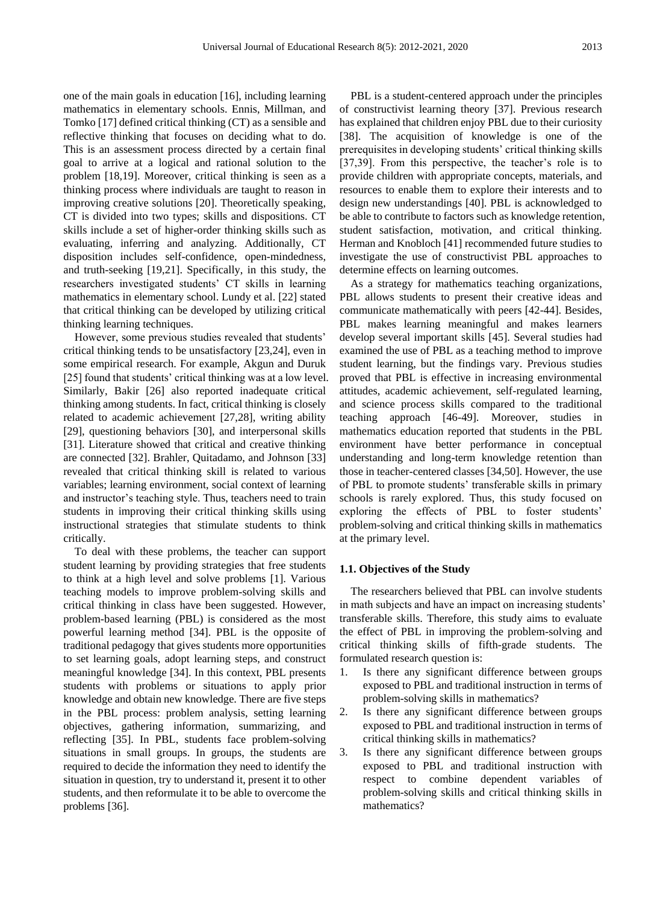one of the main goals in education [16], including learning mathematics in elementary schools. Ennis, Millman, and Tomko [17] defined critical thinking (CT) as a sensible and reflective thinking that focuses on deciding what to do. This is an assessment process directed by a certain final goal to arrive at a logical and rational solution to the problem [18,19]. Moreover, critical thinking is seen as a thinking process where individuals are taught to reason in improving creative solutions [20]. Theoretically speaking, CT is divided into two types; skills and dispositions. CT skills include a set of higher-order thinking skills such as evaluating, inferring and analyzing. Additionally, CT disposition includes self-confidence, open-mindedness, and truth-seeking [19,21]. Specifically, in this study, the researchers investigated students' CT skills in learning mathematics in elementary school. Lundy et al. [22] stated that critical thinking can be developed by utilizing critical thinking learning techniques.

However, some previous studies revealed that students' critical thinking tends to be unsatisfactory [23,24], even in some empirical research. For example, Akgun and Duruk [25] found that students' critical thinking was at a low level. Similarly, Bakir [26] also reported inadequate critical thinking among students. In fact, critical thinking is closely related to academic achievement [27,28], writing ability [29], questioning behaviors [30], and interpersonal skills [31]. Literature showed that critical and creative thinking are connected [32]. Brahler, Quitadamo, and Johnson [33] revealed that critical thinking skill is related to various variables; learning environment, social context of learning and instructor's teaching style. Thus, teachers need to train students in improving their critical thinking skills using instructional strategies that stimulate students to think critically.

To deal with these problems, the teacher can support student learning by providing strategies that free students to think at a high level and solve problems [1]. Various teaching models to improve problem-solving skills and critical thinking in class have been suggested. However, problem-based learning (PBL) is considered as the most powerful learning method [34]. PBL is the opposite of traditional pedagogy that gives students more opportunities to set learning goals, adopt learning steps, and construct meaningful knowledge [34]. In this context, PBL presents students with problems or situations to apply prior knowledge and obtain new knowledge. There are five steps in the PBL process: problem analysis, setting learning objectives, gathering information, summarizing, and reflecting [35]. In PBL, students face problem-solving situations in small groups. In groups, the students are required to decide the information they need to identify the situation in question, try to understand it, present it to other students, and then reformulate it to be able to overcome the problems [36].

PBL is a student-centered approach under the principles of constructivist learning theory [37]. Previous research has explained that children enjoy PBL due to their curiosity [38]. The acquisition of knowledge is one of the prerequisites in developing students' critical thinking skills [37,39]. From this perspective, the teacher's role is to provide children with appropriate concepts, materials, and resources to enable them to explore their interests and to design new understandings [40]. PBL is acknowledged to be able to contribute to factors such as knowledge retention, student satisfaction, motivation, and critical thinking. Herman and Knobloch [41] recommended future studies to investigate the use of constructivist PBL approaches to determine effects on learning outcomes.

As a strategy for mathematics teaching organizations, PBL allows students to present their creative ideas and communicate mathematically with peers [42-44]. Besides, PBL makes learning meaningful and makes learners develop several important skills [45]. Several studies had examined the use of PBL as a teaching method to improve student learning, but the findings vary. Previous studies proved that PBL is effective in increasing environmental attitudes, academic achievement, self-regulated learning, and science process skills compared to the traditional teaching approach [46-49]. Moreover, studies in mathematics education reported that students in the PBL environment have better performance in conceptual understanding and long-term knowledge retention than those in teacher-centered classes [34,50]. However, the use of PBL to promote students' transferable skills in primary schools is rarely explored. Thus, this study focused on exploring the effects of PBL to foster students' problem-solving and critical thinking skills in mathematics at the primary level.

#### **1.1. Objectives of the Study**

The researchers believed that PBL can involve students in math subjects and have an impact on increasing students' transferable skills. Therefore, this study aims to evaluate the effect of PBL in improving the problem-solving and critical thinking skills of fifth-grade students. The formulated research question is:

- 1. Is there any significant difference between groups exposed to PBL and traditional instruction in terms of problem-solving skills in mathematics?
- 2. Is there any significant difference between groups exposed to PBL and traditional instruction in terms of critical thinking skills in mathematics?
- 3. Is there any significant difference between groups exposed to PBL and traditional instruction with respect to combine dependent variables of problem-solving skills and critical thinking skills in mathematics?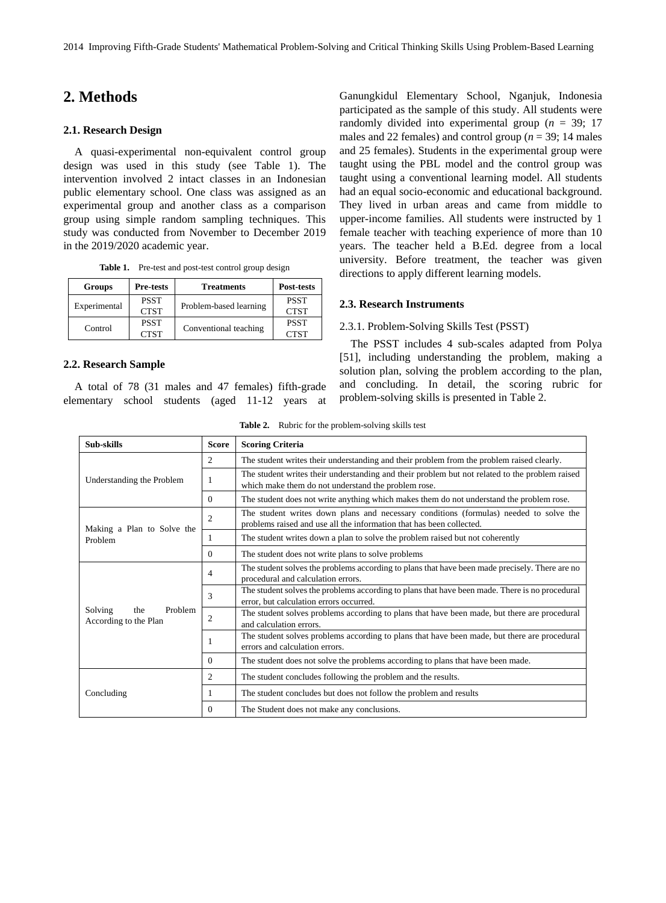# **2. Methods**

#### **2.1. Research Design**

A quasi-experimental non-equivalent control group design was used in this study (see Table 1). The intervention involved 2 intact classes in an Indonesian public elementary school. One class was assigned as an experimental group and another class as a comparison group using simple random sampling techniques. This study was conducted from November to December 2019 in the 2019/2020 academic year.

|  |  | <b>Table 1.</b> Pre-test and post-test control group design |  |
|--|--|-------------------------------------------------------------|--|
|--|--|-------------------------------------------------------------|--|

| <b>Groups</b><br><b>Pre-tests</b> |             | <b>Treatments</b>      | Post-tests  |
|-----------------------------------|-------------|------------------------|-------------|
|                                   | <b>PSST</b> |                        | <b>PSST</b> |
| Experimental                      | <b>CTST</b> | Problem-based learning | <b>CTST</b> |
|                                   | <b>PSST</b> |                        | <b>PSST</b> |
| Control                           | <b>CTST</b> | Conventional teaching  | <b>CTST</b> |

#### **2.2. Research Sample**

A total of 78 (31 males and 47 females) fifth-grade elementary school students (aged 11-12 years at

Ganungkidul Elementary School, Nganjuk, Indonesia participated as the sample of this study. All students were randomly divided into experimental group ( $n = 39$ ; 17 males and 22 females) and control group ( $n = 39$ ; 14 males and 25 females). Students in the experimental group were taught using the PBL model and the control group was taught using a conventional learning model. All students had an equal socio-economic and educational background. They lived in urban areas and came from middle to upper-income families. All students were instructed by 1 female teacher with teaching experience of more than 10 years. The teacher held a B.Ed. degree from a local university. Before treatment, the teacher was given directions to apply different learning models.

#### **2.3. Research Instruments**

#### 2.3.1. Problem-Solving Skills Test (PSST)

The PSST includes 4 sub-scales adapted from Polya [51], including understanding the problem, making a solution plan, solving the problem according to the plan, and concluding. In detail, the scoring rubric for problem-solving skills is presented in Table 2.

**Table 2.** Rubric for the problem-solving skills test

| Sub-skills                                         | <b>Score</b>   | <b>Scoring Criteria</b>                                                                                                                                       |  |  |  |
|----------------------------------------------------|----------------|---------------------------------------------------------------------------------------------------------------------------------------------------------------|--|--|--|
|                                                    | $\overline{c}$ | The student writes their understanding and their problem from the problem raised clearly.                                                                     |  |  |  |
| Understanding the Problem                          | 1              | The student writes their understanding and their problem but not related to the problem raised<br>which make them do not understand the problem rose.         |  |  |  |
|                                                    | $\Omega$       | The student does not write anything which makes them do not understand the problem rose.                                                                      |  |  |  |
| Making a Plan to Solve the                         | $\overline{2}$ | The student writes down plans and necessary conditions (formulas) needed to solve the<br>problems raised and use all the information that has been collected. |  |  |  |
| Problem                                            | 1              | The student writes down a plan to solve the problem raised but not coherently                                                                                 |  |  |  |
|                                                    | $\Omega$       | The student does not write plans to solve problems                                                                                                            |  |  |  |
|                                                    | 4              | The student solves the problems according to plans that have been made precisely. There are no<br>procedural and calculation errors.                          |  |  |  |
|                                                    | 3              | The student solves the problems according to plans that have been made. There is no procedural<br>error, but calculation errors occurred.                     |  |  |  |
| Solving<br>Problem<br>the<br>According to the Plan | $\overline{c}$ | The student solves problems according to plans that have been made, but there are procedural<br>and calculation errors.                                       |  |  |  |
|                                                    |                | The student solves problems according to plans that have been made, but there are procedural<br>errors and calculation errors.                                |  |  |  |
|                                                    | $\Omega$       | The student does not solve the problems according to plans that have been made.                                                                               |  |  |  |
|                                                    | 2              | The student concludes following the problem and the results.                                                                                                  |  |  |  |
| Concluding                                         | -1             | The student concludes but does not follow the problem and results                                                                                             |  |  |  |
|                                                    | $\mathbf{0}$   | The Student does not make any conclusions.                                                                                                                    |  |  |  |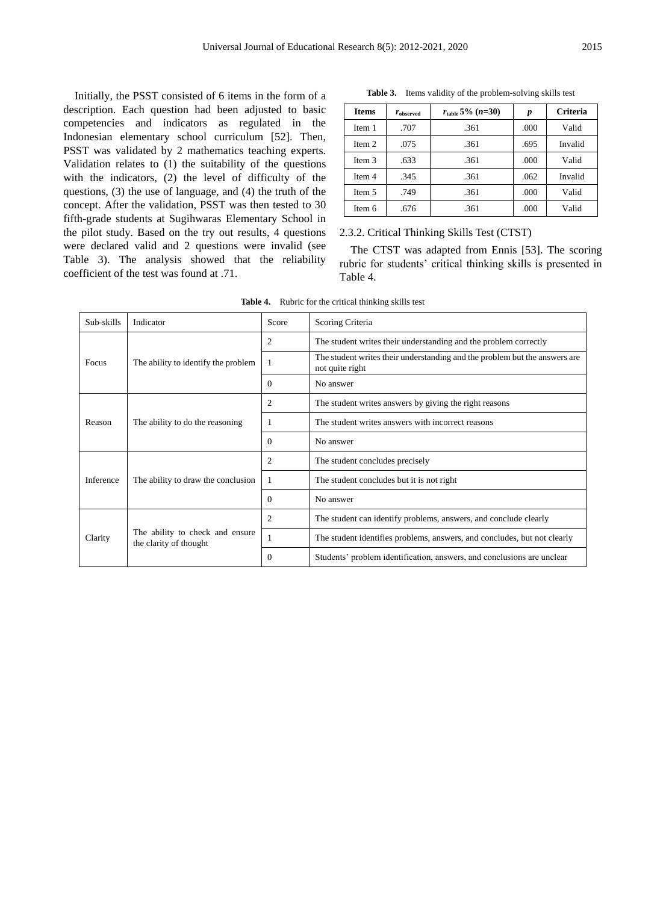Initially, the PSST consisted of 6 items in the form of a description. Each question had been adjusted to basic competencies and indicators as regulated in the Indonesian elementary school curriculum [52]. Then, PSST was validated by 2 mathematics teaching experts. Validation relates to (1) the suitability of the questions with the indicators, (2) the level of difficulty of the questions, (3) the use of language, and (4) the truth of the concept. After the validation, PSST was then tested to 30 fifth-grade students at Sugihwaras Elementary School in the pilot study. Based on the try out results, 4 questions were declared valid and 2 questions were invalid (see Table 3). The analysis showed that the reliability coefficient of the test was found at .71.

**Table 3.** Items validity of the problem-solving skills test

| <b>Items</b> | $r_{observed}$ | $r_{\text{table}}$ 5% (n=30) | p    | <b>Criteria</b> |
|--------------|----------------|------------------------------|------|-----------------|
| Item 1       | .707           | .361                         | .000 | Valid           |
| Item 2       | .075           | .361                         | .695 | Invalid         |
| Item 3       | .633           | .361                         | .000 | Valid           |
| Item 4       | .345           | .361                         | .062 | Invalid         |
| Item 5       | .749           | .361                         | .000 | Valid           |
| Item 6       | .676           | .361                         | .000 | Valid           |

2.3.2. Critical Thinking Skills Test (CTST)

The CTST was adapted from Ennis [53]. The scoring rubric for students' critical thinking skills is presented in Table 4.

**Table 4.** Rubric for the critical thinking skills test

| Sub-skills | Indicator                                                 | Score          | Scoring Criteria                                                                              |
|------------|-----------------------------------------------------------|----------------|-----------------------------------------------------------------------------------------------|
|            |                                                           | 2              | The student writes their understanding and the problem correctly                              |
| Focus      | The ability to identify the problem                       |                | The student writes their understanding and the problem but the answers are<br>not quite right |
|            |                                                           | $\Omega$       | No answer                                                                                     |
|            |                                                           | $\overline{2}$ | The student writes answers by giving the right reasons                                        |
| Reason     | The ability to do the reasoning                           |                | The student writes answers with incorrect reasons                                             |
|            |                                                           | $\Omega$       | No answer                                                                                     |
|            |                                                           | 2              | The student concludes precisely                                                               |
| Inference  | The ability to draw the conclusion                        |                | The student concludes but it is not right                                                     |
|            |                                                           | $\Omega$       | No answer                                                                                     |
|            |                                                           | $\overline{2}$ | The student can identify problems, answers, and conclude clearly                              |
| Clarity    | The ability to check and ensure<br>the clarity of thought |                | The student identifies problems, answers, and concludes, but not clearly                      |
|            |                                                           | $\overline{0}$ | Students' problem identification, answers, and conclusions are unclear                        |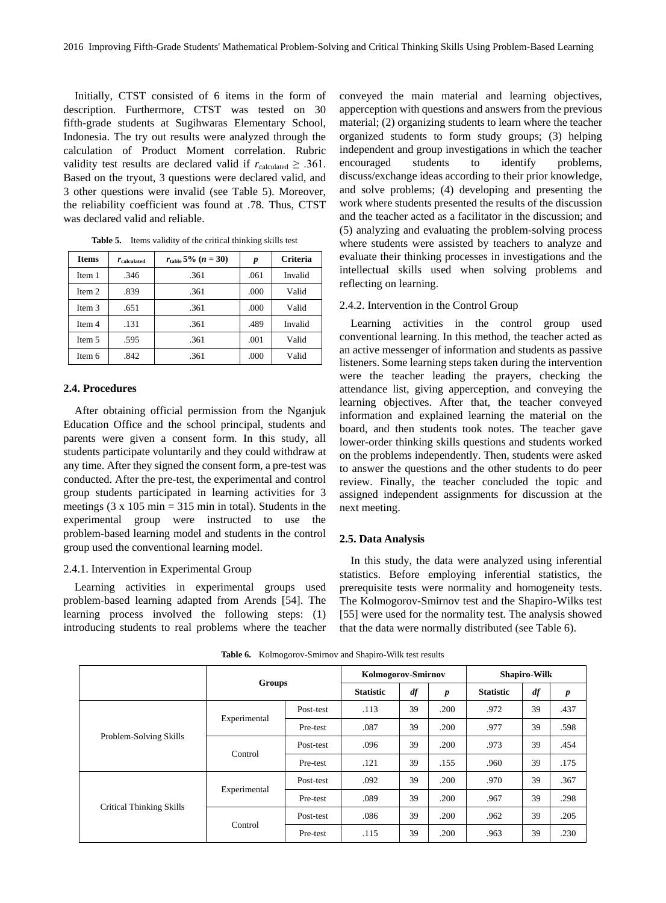Initially, CTST consisted of 6 items in the form of description. Furthermore, CTST was tested on 30 fifth-grade students at Sugihwaras Elementary School, Indonesia. The try out results were analyzed through the calculation of Product Moment correlation. Rubric validity test results are declared valid if  $r_{calculated} \geq .361$ . Based on the tryout, 3 questions were declared valid, and 3 other questions were invalid (see Table 5). Moreover, the reliability coefficient was found at .78. Thus, CTST was declared valid and reliable.

| <b>Items</b> | $r_{calculated}$ | $r_{\rm table}$ 5% $(n = 30)$ | p    | <b>Criteria</b> |
|--------------|------------------|-------------------------------|------|-----------------|
| Item 1       | .346             | .361                          | .061 | Invalid         |
| Item 2       | .839             | .361                          | .000 | Valid           |
| Item 3       | .651             | .361                          | .000 | Valid           |
| Item 4       | .131             | .361                          | .489 | Invalid         |
| Item 5       | .595             | .361                          | .001 | Valid           |
| Item 6       | .842             | .361                          | .000 | Valid           |

**Table 5.** Items validity of the critical thinking skills test

#### **2.4. Procedures**

After obtaining official permission from the Nganjuk Education Office and the school principal, students and parents were given a consent form. In this study, all students participate voluntarily and they could withdraw at any time. After they signed the consent form, a pre-test was conducted. After the pre-test, the experimental and control group students participated in learning activities for 3 meetings  $(3 \times 105 \text{ min} = 315 \text{ min}$  in total). Students in the experimental group were instructed to use the problem-based learning model and students in the control group used the conventional learning model.

#### 2.4.1. Intervention in Experimental Group

Learning activities in experimental groups used problem-based learning adapted from Arends [54]. The learning process involved the following steps: (1) introducing students to real problems where the teacher conveyed the main material and learning objectives, apperception with questions and answers from the previous material; (2) organizing students to learn where the teacher organized students to form study groups; (3) helping independent and group investigations in which the teacher encouraged students to identify problems, discuss/exchange ideas according to their prior knowledge, and solve problems; (4) developing and presenting the work where students presented the results of the discussion and the teacher acted as a facilitator in the discussion; and (5) analyzing and evaluating the problem-solving process where students were assisted by teachers to analyze and evaluate their thinking processes in investigations and the intellectual skills used when solving problems and reflecting on learning.

#### 2.4.2. Intervention in the Control Group

Learning activities in the control group used conventional learning. In this method, the teacher acted as an active messenger of information and students as passive listeners. Some learning steps taken during the intervention were the teacher leading the prayers, checking the attendance list, giving apperception, and conveying the learning objectives. After that, the teacher conveyed information and explained learning the material on the board, and then students took notes. The teacher gave lower-order thinking skills questions and students worked on the problems independently. Then, students were asked to answer the questions and the other students to do peer review. Finally, the teacher concluded the topic and assigned independent assignments for discussion at the next meeting.

#### **2.5. Data Analysis**

In this study, the data were analyzed using inferential statistics. Before employing inferential statistics, the prerequisite tests were normality and homogeneity tests. The Kolmogorov-Smirnov test and the Shapiro-Wilks test [55] were used for the normality test. The analysis showed that the data were normally distributed (see Table 6).

|                                 |               |           | Kolmogorov-Smirnov |    |                  | <b>Shapiro-Wilk</b> |                |                  |
|---------------------------------|---------------|-----------|--------------------|----|------------------|---------------------|----------------|------------------|
|                                 | <b>Groups</b> |           | <b>Statistic</b>   | df | $\boldsymbol{p}$ | <b>Statistic</b>    | $\mathbf{d}$ f | $\boldsymbol{p}$ |
|                                 |               | Post-test | .113               | 39 | .200             | .972                | 39             | .437             |
|                                 | Experimental  | Pre-test  | .087               | 39 | .200             | .977                | 39             | .598             |
| Problem-Solving Skills          | Control       | Post-test | .096               | 39 | .200             | .973                | 39             | .454             |
|                                 |               | Pre-test  | .121               | 39 | .155             | .960                | 39             | .175             |
| <b>Critical Thinking Skills</b> | Experimental  | Post-test | .092               | 39 | .200             | .970                | 39             | .367             |
|                                 |               | Pre-test  | .089               | 39 | .200             | .967                | 39             | .298             |
|                                 |               | Post-test | .086               | 39 | .200             | .962                | 39             | .205             |
|                                 | Control       | Pre-test  | .115               | 39 | .200             | .963                | 39             | .230             |

**Table 6.** Kolmogorov-Smirnov and Shapiro-Wilk test results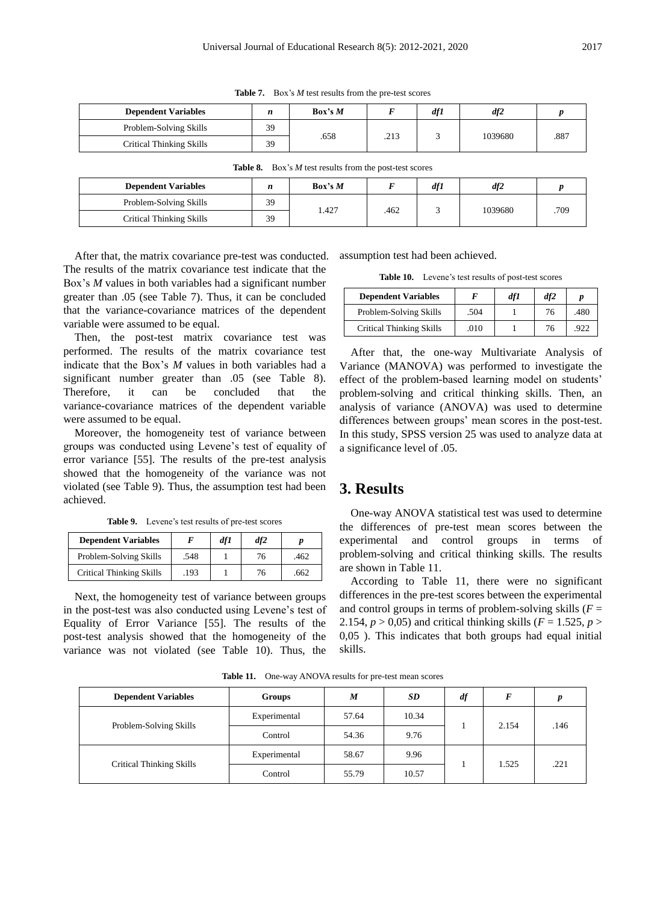| <b>Dependent Variables</b> | n  | Box's M |      | df1 | df2     |      |
|----------------------------|----|---------|------|-----|---------|------|
| Problem-Solving Skills     | 39 |         |      |     | 1039680 | .887 |
| Critical Thinking Skills   | 39 | .658    | .213 |     |         |      |

**Table 7.** Box's *M* test results from the pre-test scores

| <b>Dependent Variables</b> | n  | Box's M |      | df1 | df2     |      |
|----------------------------|----|---------|------|-----|---------|------|
| Problem-Solving Skills     | 39 |         |      |     |         |      |
| Critical Thinking Skills   | 39 | 1.427   | .462 |     | 1039680 | .709 |

**Table 8.** Box's *M* test results from the post-test scores

After that, the matrix covariance pre-test was conducted. The results of the matrix covariance test indicate that the Box's *M* values in both variables had a significant number greater than .05 (see Table 7). Thus, it can be concluded that the variance-covariance matrices of the dependent variable were assumed to be equal.

Then, the post-test matrix covariance test was performed. The results of the matrix covariance test indicate that the Box's *M* values in both variables had a significant number greater than .05 (see Table 8). Therefore, it can be concluded that the variance-covariance matrices of the dependent variable were assumed to be equal.

Moreover, the homogeneity test of variance between groups was conducted using Levene's test of equality of error variance [55]. The results of the pre-test analysis showed that the homogeneity of the variance was not violated (see Table 9). Thus, the assumption test had been achieved.

**Table 9.** Levene's test results of pre-test scores

| <b>Dependent Variables</b>      |      | df1 | df2 |      |
|---------------------------------|------|-----|-----|------|
| Problem-Solving Skills          | .548 |     | 76  | .462 |
| <b>Critical Thinking Skills</b> | .193 |     | 76  | .662 |

Next, the homogeneity test of variance between groups in the post-test was also conducted using Levene's test of Equality of Error Variance [55]. The results of the post-test analysis showed that the homogeneity of the variance was not violated (see Table 10). Thus, the

assumption test had been achieved.

**Table 10.** Levene's test results of post-test scores

| <b>Dependent Variables</b>      | F    | dfI | df2 | n    |
|---------------------------------|------|-----|-----|------|
| Problem-Solving Skills          | .504 |     | 76  | .480 |
| <b>Critical Thinking Skills</b> | .010 |     | 76  | 922  |

After that, the one-way Multivariate Analysis of Variance (MANOVA) was performed to investigate the effect of the problem-based learning model on students' problem-solving and critical thinking skills. Then, an analysis of variance (ANOVA) was used to determine differences between groups' mean scores in the post-test. In this study, SPSS version 25 was used to analyze data at a significance level of .05.

## **3. Results**

One-way ANOVA statistical test was used to determine the differences of pre-test mean scores between the experimental and control groups in terms of problem-solving and critical thinking skills. The results are shown in Table 11.

According to Table 11, there were no significant differences in the pre-test scores between the experimental and control groups in terms of problem-solving skills  $(F =$ 2.154,  $p > 0.05$ ) and critical thinking skills ( $F = 1.525$ ,  $p > 0.05$ ) 0,05 ). This indicates that both groups had equal initial skills.

**Table 11.** One-way ANOVA results for pre-test mean scores

| <b>Dependent Variables</b> | <b>Groups</b> | M     | SD    | df | F     |      |
|----------------------------|---------------|-------|-------|----|-------|------|
| Problem-Solving Skills     | Experimental  | 57.64 | 10.34 |    | 2.154 | .146 |
|                            | Control       | 54.36 | 9.76  |    |       |      |
| Critical Thinking Skills   | Experimental  | 58.67 | 9.96  |    |       |      |
|                            | Control       | 55.79 | 10.57 |    | 1.525 | .221 |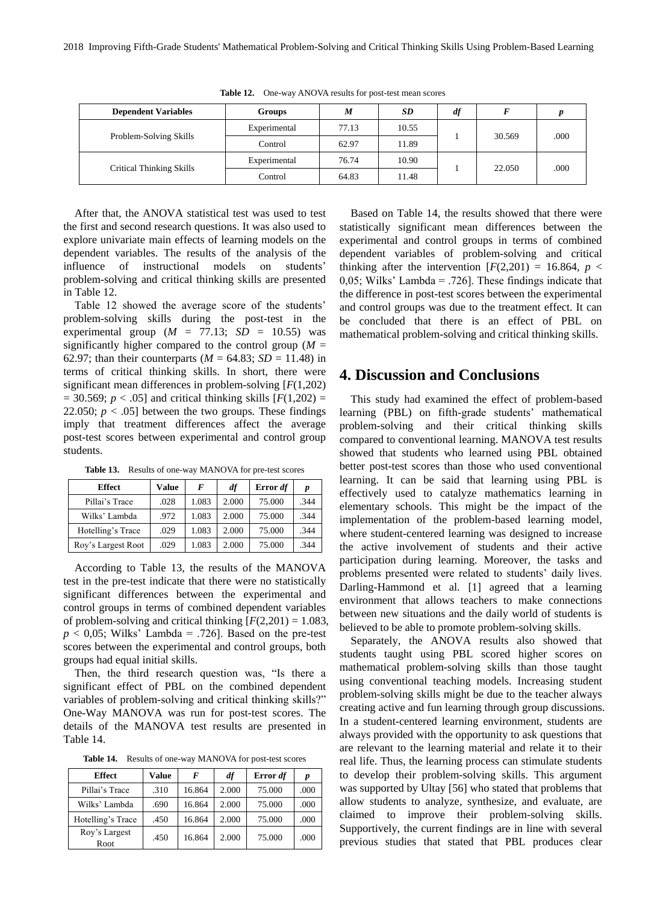| <b>Dependent Variables</b>      | Groups       | M     | SD    | df |        |      |
|---------------------------------|--------------|-------|-------|----|--------|------|
| Problem-Solving Skills          | Experimental | 77.13 | 10.55 |    | 30.569 | .000 |
|                                 | Control      | 62.97 | 11.89 |    |        |      |
| <b>Critical Thinking Skills</b> | Experimental | 76.74 | 10.90 |    | 22.050 | .000 |
|                                 | Control      | 64.83 | 11.48 |    |        |      |

**Table 12.** One-way ANOVA results for post-test mean scores

After that, the ANOVA statistical test was used to test the first and second research questions. It was also used to explore univariate main effects of learning models on the dependent variables. The results of the analysis of the influence of instructional models on students' problem-solving and critical thinking skills are presented in Table 12.

Table 12 showed the average score of the students' problem-solving skills during the post-test in the experimental group  $(M = 77.13; SD = 10.55)$  was significantly higher compared to the control group  $(M =$ 62.97; than their counterparts  $(M = 64.83; SD = 11.48)$  in terms of critical thinking skills. In short, there were significant mean differences in problem-solving [*F*(1,202)  $= 30.569$ ;  $p < .05$ ] and critical thinking skills [ $F(1,202) =$ 22.050;  $p < .05$ ] between the two groups. These findings imply that treatment differences affect the average post-test scores between experimental and control group students.

**Table 13.** Results of one-way MANOVA for pre-test scores

| <b>Effect</b>      | Value | F     | df    | Error df | p    |
|--------------------|-------|-------|-------|----------|------|
| Pillai's Trace     | .028  | 1.083 | 2.000 | 75.000   | .344 |
| Wilks' Lambda      | .972  | 1.083 | 2.000 | 75.000   | .344 |
| Hotelling's Trace  | .029  | 1.083 | 2.000 | 75.000   | .344 |
| Roy's Largest Root | .029  | 1.083 | 2.000 | 75.000   | 344  |

According to Table 13, the results of the MANOVA test in the pre-test indicate that there were no statistically significant differences between the experimental and control groups in terms of combined dependent variables of problem-solving and critical thinking  $[F(2,201) = 1.083]$ ,  $p < 0.05$ ; Wilks' Lambda = .726]. Based on the pre-test scores between the experimental and control groups, both groups had equal initial skills.

Then, the third research question was, "Is there a significant effect of PBL on the combined dependent variables of problem-solving and critical thinking skills?" One-Way MANOVA was run for post-test scores. The details of the MANOVA test results are presented in Table 14.

**Table 14.** Results of one-way MANOVA for post-test scores

| <b>Effect</b>         | Value | F      | df    | Error df | p    |
|-----------------------|-------|--------|-------|----------|------|
| Pillai's Trace        | .310  | 16.864 | 2.000 | 75,000   | .000 |
| Wilks' Lambda         | .690  | 16.864 | 2.000 | 75,000   | .000 |
| Hotelling's Trace     | .450  | 16.864 | 2.000 | 75.000   | .000 |
| Roy's Largest<br>Root | .450  | 16.864 | 2.000 | 75.000   | .000 |

Based on Table 14, the results showed that there were statistically significant mean differences between the experimental and control groups in terms of combined dependent variables of problem-solving and critical thinking after the intervention  $[F(2,201) = 16.864, p <$ 0,05; Wilks' Lambda =  $.726$ ]. These findings indicate that the difference in post-test scores between the experimental and control groups was due to the treatment effect. It can be concluded that there is an effect of PBL on mathematical problem-solving and critical thinking skills.

## **4. Discussion and Conclusions**

This study had examined the effect of problem-based learning (PBL) on fifth-grade students' mathematical problem-solving and their critical thinking skills compared to conventional learning. MANOVA test results showed that students who learned using PBL obtained better post-test scores than those who used conventional learning. It can be said that learning using PBL is effectively used to catalyze mathematics learning in elementary schools. This might be the impact of the implementation of the problem-based learning model, where student-centered learning was designed to increase the active involvement of students and their active participation during learning. Moreover, the tasks and problems presented were related to students' daily lives. Darling-Hammond et al. [1] agreed that a learning environment that allows teachers to make connections between new situations and the daily world of students is believed to be able to promote problem-solving skills.

Separately, the ANOVA results also showed that students taught using PBL scored higher scores on mathematical problem-solving skills than those taught using conventional teaching models. Increasing student problem-solving skills might be due to the teacher always creating active and fun learning through group discussions. In a student-centered learning environment, students are always provided with the opportunity to ask questions that are relevant to the learning material and relate it to their real life. Thus, the learning process can stimulate students to develop their problem-solving skills. This argument was supported by Ultay [56] who stated that problems that allow students to analyze, synthesize, and evaluate, are claimed to improve their problem-solving skills. Supportively, the current findings are in line with several previous studies that stated that PBL produces clear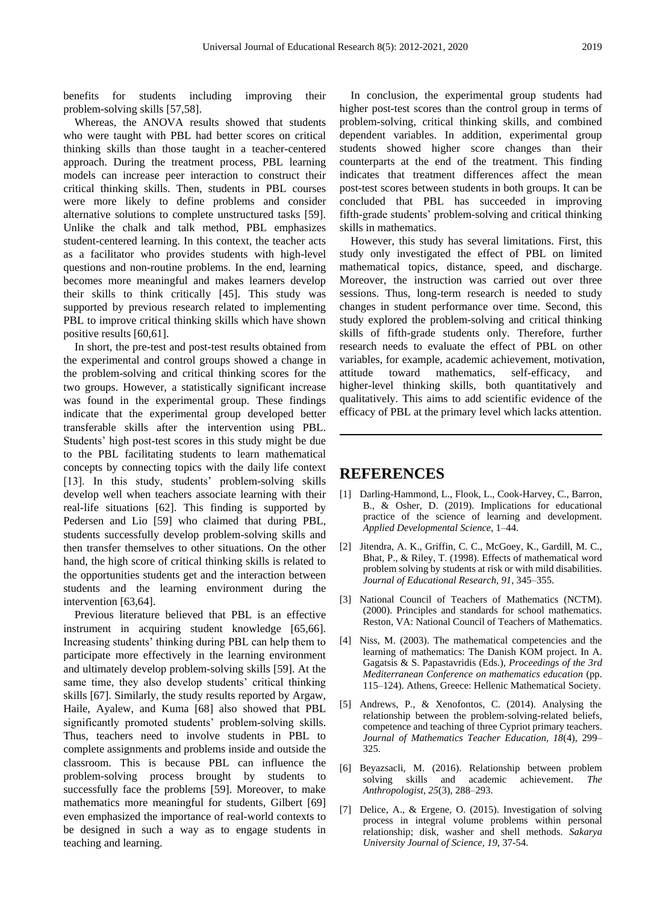benefits for students including improving their problem-solving skills [57,58].

Whereas, the ANOVA results showed that students who were taught with PBL had better scores on critical thinking skills than those taught in a teacher-centered approach. During the treatment process, PBL learning models can increase peer interaction to construct their critical thinking skills. Then, students in PBL courses were more likely to define problems and consider alternative solutions to complete unstructured tasks [59]. Unlike the chalk and talk method, PBL emphasizes student-centered learning. In this context, the teacher acts as a facilitator who provides students with high-level questions and non-routine problems. In the end, learning becomes more meaningful and makes learners develop their skills to think critically [45]. This study was supported by previous research related to implementing PBL to improve critical thinking skills which have shown positive results [60,61].

In short, the pre-test and post-test results obtained from the experimental and control groups showed a change in the problem-solving and critical thinking scores for the two groups. However, a statistically significant increase was found in the experimental group. These findings indicate that the experimental group developed better transferable skills after the intervention using PBL. Students' high post-test scores in this study might be due to the PBL facilitating students to learn mathematical concepts by connecting topics with the daily life context [13]. In this study, students' problem-solving skills develop well when teachers associate learning with their real-life situations [62]. This finding is supported by Pedersen and Lio [59] who claimed that during PBL, students successfully develop problem-solving skills and then transfer themselves to other situations. On the other hand, the high score of critical thinking skills is related to the opportunities students get and the interaction between students and the learning environment during the intervention [63,64].

Previous literature believed that PBL is an effective instrument in acquiring student knowledge [65,66]. Increasing students' thinking during PBL can help them to participate more effectively in the learning environment and ultimately develop problem-solving skills [59]. At the same time, they also develop students' critical thinking skills [67]. Similarly, the study results reported by Argaw, Haile, Ayalew, and Kuma [68] also showed that PBL significantly promoted students' problem-solving skills. Thus, teachers need to involve students in PBL to complete assignments and problems inside and outside the classroom. This is because PBL can influence the problem-solving process brought by students to successfully face the problems [59]. Moreover, to make mathematics more meaningful for students, Gilbert [69] even emphasized the importance of real-world contexts to be designed in such a way as to engage students in teaching and learning.

In conclusion, the experimental group students had higher post-test scores than the control group in terms of problem-solving, critical thinking skills, and combined dependent variables. In addition, experimental group students showed higher score changes than their counterparts at the end of the treatment. This finding indicates that treatment differences affect the mean post-test scores between students in both groups. It can be concluded that PBL has succeeded in improving fifth-grade students' problem-solving and critical thinking skills in mathematics.

However, this study has several limitations. First, this study only investigated the effect of PBL on limited mathematical topics, distance, speed, and discharge. Moreover, the instruction was carried out over three sessions. Thus, long-term research is needed to study changes in student performance over time. Second, this study explored the problem-solving and critical thinking skills of fifth-grade students only. Therefore, further research needs to evaluate the effect of PBL on other variables, for example, academic achievement, motivation, attitude toward mathematics, self-efficacy, and higher-level thinking skills, both quantitatively and qualitatively. This aims to add scientific evidence of the efficacy of PBL at the primary level which lacks attention.

### **REFERENCES**

- [1] Darling-Hammond, L., Flook, L., Cook-Harvey, C., Barron, B., & Osher, D. (2019). Implications for educational practice of the science of learning and development. *Applied Developmental Science*, 1–44.
- [2] Jitendra, A. K., Griffin, C. C., McGoey, K., Gardill, M. C., Bhat, P., & Riley, T. (1998). Effects of mathematical word problem solving by students at risk or with mild disabilities. *Journal of Educational Research, 91*, 345–355.
- [3] National Council of Teachers of Mathematics (NCTM). (2000). Principles and standards for school mathematics. Reston, VA: National Council of Teachers of Mathematics.
- [4] Niss, M. (2003). The mathematical competencies and the learning of mathematics: The Danish KOM project. In A. Gagatsis & S. Papastavridis (Eds.), *Proceedings of the 3rd Mediterranean Conference on mathematics education* (pp. 115–124). Athens, Greece: Hellenic Mathematical Society.
- [5] Andrews, P., & Xenofontos, C. (2014). Analysing the relationship between the problem-solving-related beliefs, competence and teaching of three Cypriot primary teachers. *Journal of Mathematics Teacher Education, 18*(4), 299– 325.
- [6] Beyazsacli, M. (2016). Relationship between problem solving skills and academic achievement. *The Anthropologist, 25*(3), 288–293.
- [7] Delice, A., & Ergene, O. (2015). Investigation of solving process in integral volume problems within personal relationship; disk, washer and shell methods. *Sakarya University Journal of Science, 19*, 37-54.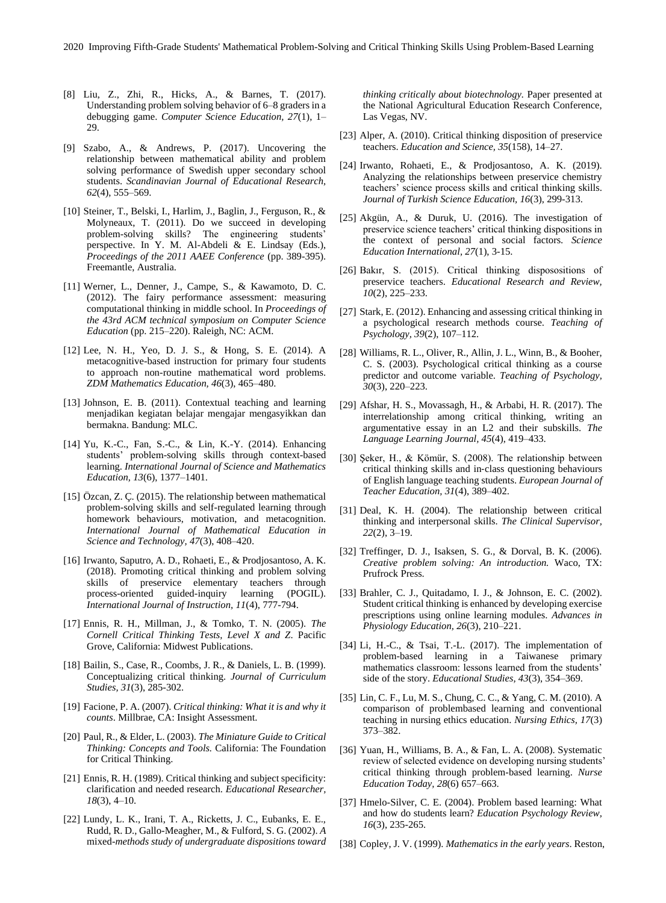- [8] Liu, Z., Zhi, R., Hicks, A., & Barnes, T. (2017). Understanding problem solving behavior of 6–8 graders in a debugging game. *Computer Science Education, 27*(1), 1– 29.
- [9] Szabo, A., & Andrews, P. (2017). Uncovering the relationship between mathematical ability and problem solving performance of Swedish upper secondary school students. *Scandinavian Journal of Educational Research, 62*(4), 555–569.
- [10] Steiner, T., Belski, I., Harlim, J., Baglin, J., Ferguson, R., & Molyneaux, T. (2011). Do we succeed in developing problem-solving skills? The engineering students' perspective. In Y. M. Al-Abdeli & E. Lindsay (Eds.), *Proceedings of the 2011 AAEE Conference* (pp. 389-395). Freemantle, Australia.
- [11] Werner, L., Denner, J., Campe, S., & Kawamoto, D. C. (2012). The fairy performance assessment: measuring computational thinking in middle school. In *Proceedings of the 43rd ACM technical symposium on Computer Science Education* (pp. 215–220). Raleigh, NC: ACM.
- [12] Lee, N. H., Yeo, D. J. S., & Hong, S. E. (2014). A metacognitive-based instruction for primary four students to approach non-routine mathematical word problems. *ZDM Mathematics Education, 46*(3), 465–480.
- [13] Johnson, E. B. (2011). Contextual teaching and learning menjadikan kegiatan belajar mengajar mengasyikkan dan bermakna. Bandung: MLC.
- [14] Yu, K.-C., Fan, S.-C., & Lin, K.-Y. (2014). Enhancing students' problem-solving skills through context-based learning. *International Journal of Science and Mathematics Education, 13*(6), 1377–1401.
- [15] Özcan, Z. Ç. (2015). The relationship between mathematical problem-solving skills and self-regulated learning through homework behaviours, motivation, and metacognition. *International Journal of Mathematical Education in Science and Technology, 47*(3), 408–420.
- [16] Irwanto, Saputro, A. D., Rohaeti, E., & Prodjosantoso, A. K. (2018). Promoting critical thinking and problem solving skills of preservice elementary teachers through process-oriented guided-inquiry learning (POGIL). *International Journal of Instruction, 11*(4), 777-794.
- [17] Ennis, R. H., Millman, J., & Tomko, T. N. (2005). *The Cornell Critical Thinking Tests, Level X and Z*. Pacific Grove, California: Midwest Publications.
- [18] Bailin, S., Case, R., Coombs, J. R., & Daniels, L. B. (1999). Conceptualizing critical thinking. *Journal of Curriculum Studies, 31*(3), 285-302.
- [19] Facione, P. A. (2007). *Critical thinking: What it is and why it counts*. Millbrae, CA: Insight Assessment.
- [20] Paul, R., & Elder, L. (2003). *The Miniature Guide to Critical Thinking: Concepts and Tools.* California: The Foundation for Critical Thinking.
- [21] Ennis, R. H. (1989). Critical thinking and subject specificity: clarification and needed research. *Educational Researcher, 18*(3), 4–10.
- [22] Lundy, L. K., Irani, T. A., Ricketts, J. C., Eubanks, E. E., Rudd, R. D., Gallo-Meagher, M., & Fulford, S. G. (2002). *A*  mixed*-methods study of undergraduate dispositions toward*

*thinking critically about biotechnology.* Paper presented at the National Agricultural Education Research Conference, Las Vegas, NV.

- [23] Alper, A. (2010). Critical thinking disposition of preservice teachers. *Education and Science, 35*(158), 14–27.
- [24] Irwanto, Rohaeti, E., & Prodjosantoso, A. K. (2019). Analyzing the relationships between preservice chemistry teachers' science process skills and critical thinking skills. *Journal of Turkish Science Education, 16*(3), 299-313.
- [25] Akgün, A., & Duruk, U. (2016). The investigation of preservice science teachers' critical thinking dispositions in the context of personal and social factors. *Science Education International, 27*(1), 3-15.
- [26] Bakır, S. (2015). Critical thinking disposositions of preservice teachers. *Educational Research and Review, 10*(2), 225–233.
- [27] Stark, E. (2012). Enhancing and assessing critical thinking in a psychological research methods course. *Teaching of Psychology, 39*(2), 107–112.
- [28] Williams, R. L., Oliver, R., Allin, J. L., Winn, B., & Booher, C. S. (2003). Psychological critical thinking as a course predictor and outcome variable. *Teaching of Psychology, 30*(3), 220–223.
- [29] Afshar, H. S., Movassagh, H., & Arbabi, H. R. (2017). The interrelationship among critical thinking, writing an argumentative essay in an L2 and their subskills. *The Language Learning Journal, 45*(4), 419–433.
- [30] Şeker, H., & Kömür, S. (2008). The relationship between critical thinking skills and in‐class questioning behaviours of English language teaching students. *European Journal of Teacher Education, 31*(4), 389–402.
- [31] Deal, K. H. (2004). The relationship between critical thinking and interpersonal skills. *The Clinical Supervisor, 22*(2), 3–19.
- [32] Treffinger, D. J., Isaksen, S. G., & Dorval, B. K. (2006). *Creative problem solving: An introduction.* Waco, TX: Prufrock Press.
- [33] Brahler, C. J., Quitadamo, I. J., & Johnson, E. C. (2002). Student critical thinking is enhanced by developing exercise prescriptions using online learning modules. *Advances in Physiology Education, 26*(3), 210–221.
- [34] Li, H.-C., & Tsai, T.-L. (2017). The implementation of problem-based learning in a Taiwanese primary mathematics classroom: lessons learned from the students' side of the story. *Educational Studies, 43*(3), 354–369.
- [35] Lin, C. F., Lu, M. S., Chung, C. C., & Yang, C. M. (2010). A comparison of problembased learning and conventional teaching in nursing ethics education. *Nursing Ethics, 17*(3) 373–382.
- [36] Yuan, H., Williams, B. A., & Fan, L. A. (2008). Systematic review of selected evidence on developing nursing students' critical thinking through problem-based learning. *Nurse Education Today, 28*(6) 657–663.
- [37] Hmelo-Silver, C. E. (2004). Problem based learning: What and how do students learn? *Education Psychology Review, 16*(3), 235-265.
- [38] Copley, J. V. (1999). *Mathematics in the early years*. Reston,